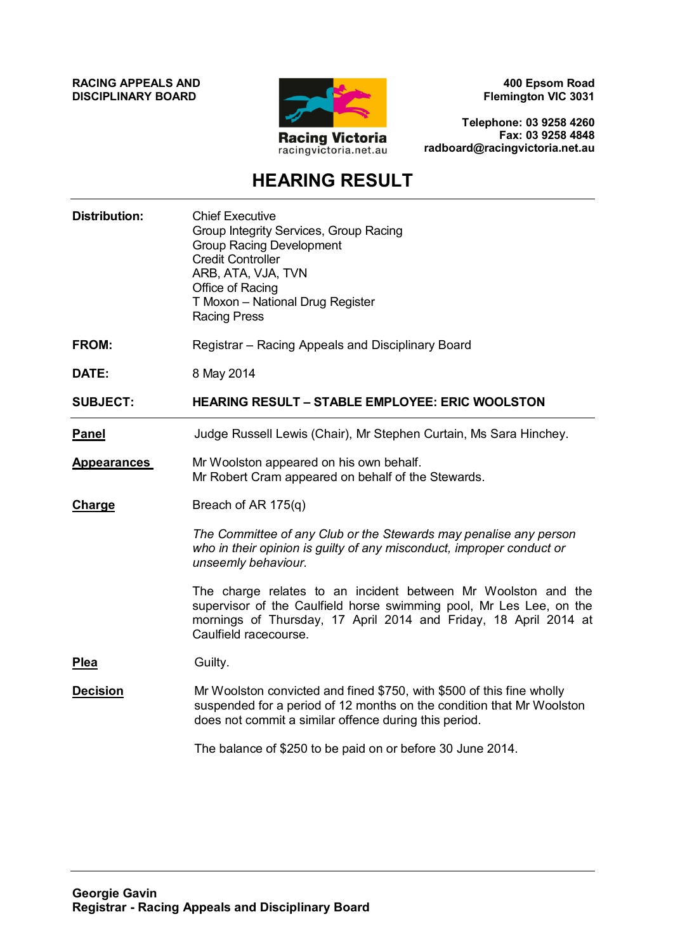**RACING APPEALS AND DISCIPLINARY BOARD**



**400 Epsom Road Flemington VIC 3031**

**Telephone: 03 9258 4260 Fax: 03 9258 4848 radboard@racingvictoria.net.au**

# **HEARING RESULT**

| <b>Distribution:</b> | <b>Chief Executive</b><br>Group Integrity Services, Group Racing<br><b>Group Racing Development</b><br><b>Credit Controller</b><br>ARB, ATA, VJA, TVN<br>Office of Racing<br>T Moxon - National Drug Register<br><b>Racing Press</b> |
|----------------------|--------------------------------------------------------------------------------------------------------------------------------------------------------------------------------------------------------------------------------------|
| <b>FROM:</b>         | Registrar – Racing Appeals and Disciplinary Board                                                                                                                                                                                    |
| DATE:                | 8 May 2014                                                                                                                                                                                                                           |
| <b>SUBJECT:</b>      | <b>HEARING RESULT - STABLE EMPLOYEE: ERIC WOOLSTON</b>                                                                                                                                                                               |
| <b>Panel</b>         | Judge Russell Lewis (Chair), Mr Stephen Curtain, Ms Sara Hinchey.                                                                                                                                                                    |
| <b>Appearances</b>   | Mr Woolston appeared on his own behalf.<br>Mr Robert Cram appeared on behalf of the Stewards.                                                                                                                                        |
| Charge               | Breach of AR 175(q)                                                                                                                                                                                                                  |
|                      | The Committee of any Club or the Stewards may penalise any person<br>who in their opinion is guilty of any misconduct, improper conduct or<br>unseemly behaviour.                                                                    |
|                      | The charge relates to an incident between Mr Woolston and the<br>supervisor of the Caulfield horse swimming pool, Mr Les Lee, on the<br>mornings of Thursday, 17 April 2014 and Friday, 18 April 2014 at<br>Caulfield racecourse.    |
| <b>Plea</b>          | Guilty.                                                                                                                                                                                                                              |
| <b>Decision</b>      | Mr Woolston convicted and fined \$750, with \$500 of this fine wholly<br>suspended for a period of 12 months on the condition that Mr Woolston<br>does not commit a similar offence during this period.                              |
|                      | The balance of \$250 to be paid on or before 30 June 2014.                                                                                                                                                                           |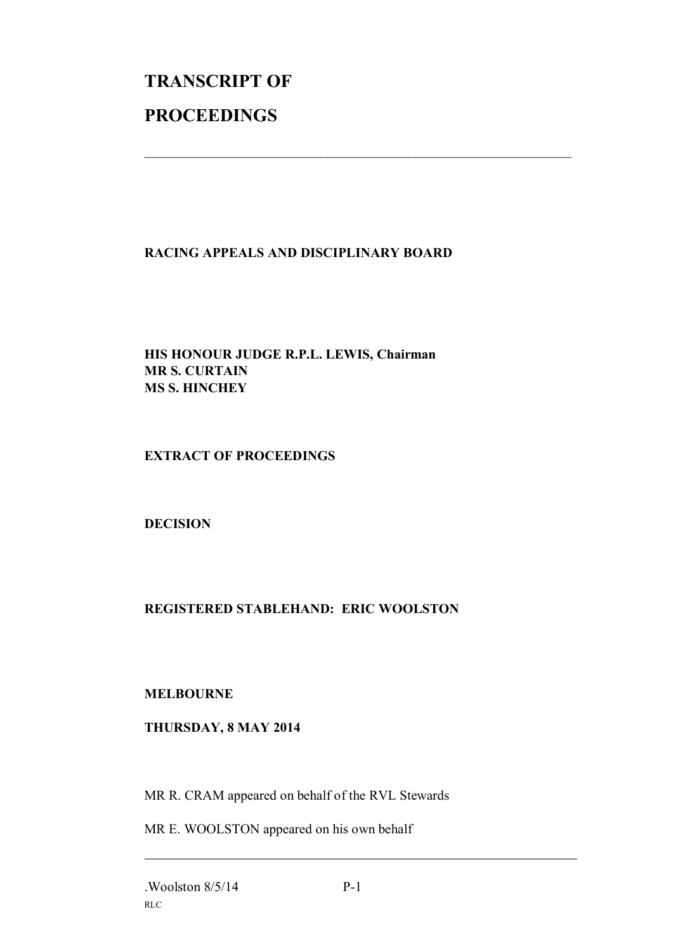# **TRANSCRIPT OF PROCEEDINGS**

### **RACING APPEALS AND DISCIPLINARY BOARD**

 $\mathcal{L}_\text{max}$  , and the contribution of the contribution of the contribution of the contribution of the contribution of the contribution of the contribution of the contribution of the contribution of the contribution of t

#### **HIS HONOUR JUDGE R.P.L. LEWIS, Chairman MR S. CURTAIN MS S. HINCHEY**

#### **EXTRACT OF PROCEEDINGS**

#### **DECISION**

## **REGISTERED STABLEHAND: ERIC WOOLSTON**

#### **MELBOURNE**

#### **THURSDAY, 8 MAY 2014**

MR R. CRAM appeared on behalf of the RVL Stewards

MR E. WOOLSTON appeared on his own behalf